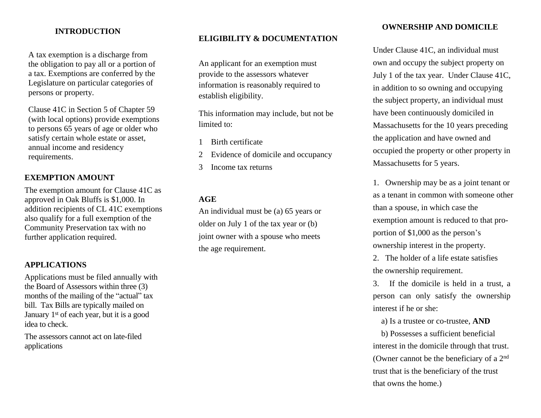### **INTRODUCTION**

A tax exemption is a discharge from the obligation to pay all or a portion of a tax. Exemptions are conferred by the Legislature on particular categories of persons or property.

Clause 41C in Section 5 of Chapter 59 (with local options) provide exemptions to persons 65 years of age or older who satisfy certain whole estate or asset, annual income and residency requirements.

## **EXEMPTION AMOUNT**

The exemption amount for Clause 41C as approved in Oak Bluffs is \$1,000. In addition recipients of CL 41C exemptions also qualify for a full exemption of the Community Preservation tax with no further application required.

### **APPLICATIONS**

Applications must be filed annually with the Board of Assessors within three (3) months of the mailing of the "actual" tax bill. Tax Bills are typically mailed on January 1<sup>st</sup> of each year, but it is a good idea to check.

The assessors cannot act on late-filed applications

## **ELIGIBILITY & DOCUMENTATION**

An applicant for an exemption must provide to the assessors whatever information is reasonably required to establish eligibility.

This information may include, but not be limited to:

- 1 Birth certificate
- 2 Evidence of domicile and occupancy
- 3 Income tax returns

#### **AGE**

An individual must be (a) 65 years or older on July 1 of the tax year or (b) joint owner with a spouse who meets the age requirement.

### **OWNERSHIP AND DOMICILE**

Under Clause 41C, an individual must own and occupy the subject property on July 1 of the tax year. Under Clause 41C, in addition to so owning and occupying the subject property, an individual must have been continuously domiciled in Massachusetts for the 10 years preceding the application and have owned and occupied the property or other property in Massachusetts for 5 years.

1. Ownership may be as a joint tenant or as a tenant in common with someone other than a spouse, in which case the exemption amount is reduced to that proportion of \$1,000 as the person's ownership interest in the property.

2. The holder of a life estate satisfies the ownership requirement.

3. If the domicile is held in a trust, a person can only satisfy the ownership interest if he or she:

a) Is a trustee or co-trustee, **AND**

b) Possesses a sufficient beneficial interest in the domicile through that trust. (Owner cannot be the beneficiary of a 2nd trust that is the beneficiary of the trust that owns the home.)